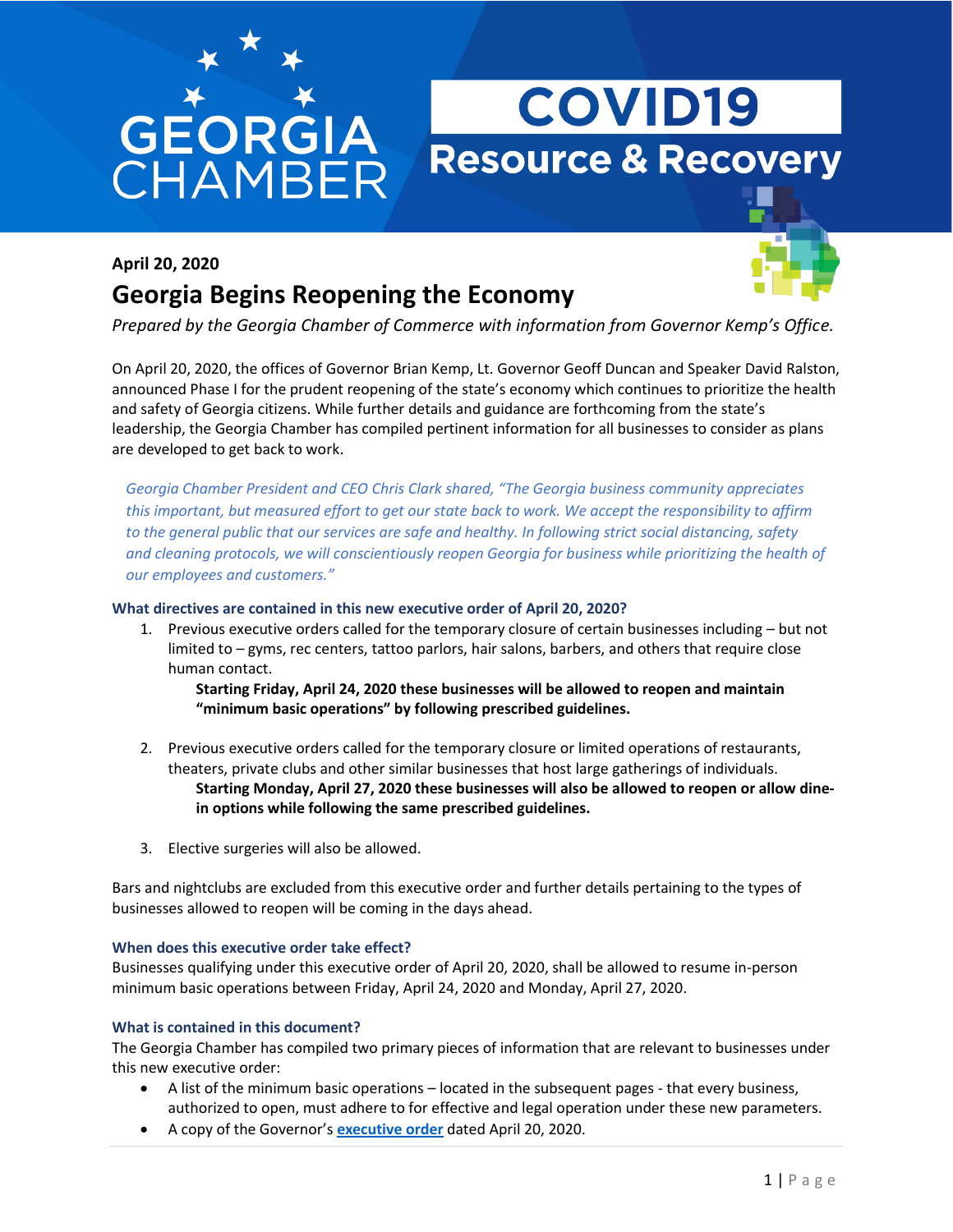# **GEORGIA**<br>CHAMBEF

## **COVID19 Resource & Recovery**

### **April 20, 2020**





*Prepared by the Georgia Chamber of Commerce with information from Governor Kemp's Office.*

On April 20, 2020, the offices of Governor Brian Kemp, Lt. Governor Geoff Duncan and Speaker David Ralston, announced Phase I for the prudent reopening of the state's economy which continues to prioritize the health and safety of Georgia citizens. While further details and guidance are forthcoming from the state's leadership, the Georgia Chamber has compiled pertinent information for all businesses to consider as plans are developed to get back to work.

*Georgia Chamber President and CEO Chris Clark shared, "The Georgia business community appreciates this important, but measured effort to get our state back to work. We accept the responsibility to affirm to the general public that our services are safe and healthy. In following strict social distancing, safety and cleaning protocols, we will conscientiously reopen Georgia for business while prioritizing the health of our employees and customers."*

#### **What directives are contained in this new executive order of April 20, 2020?**

1. Previous executive orders called for the temporary closure of certain businesses including – but not limited to – gyms, rec centers, tattoo parlors, hair salons, barbers, and others that require close human contact.

**Starting Friday, April 24, 2020 these businesses will be allowed to reopen and maintain "minimum basic operations" by following prescribed guidelines.**

- 2. Previous executive orders called for the temporary closure or limited operations of restaurants, theaters, private clubs and other similar businesses that host large gatherings of individuals. **Starting Monday, April 27, 2020 these businesses will also be allowed to reopen or allow dinein options while following the same prescribed guidelines.**
- 3. Elective surgeries will also be allowed.

Bars and nightclubs are excluded from this executive order and further details pertaining to the types of businesses allowed to reopen will be coming in the days ahead.

#### **When does this executive order take effect?**

Businesses qualifying under this executive order of April 20, 2020, shall be allowed to resume in-person minimum basic operations between Friday, April 24, 2020 and Monday, April 27, 2020.

#### **What is contained in this document?**

The Georgia Chamber has compiled two primary pieces of information that are relevant to businesses under this new executive order:

- A list of the minimum basic operations located in the subsequent pages that every business, authorized to open, must adhere to for effective and legal operation under these new parameters.
- A copy of the Governor's **[executive order](https://gov.georgia.gov/document/2020-executive-order/04202001/download)** dated April 20, 2020.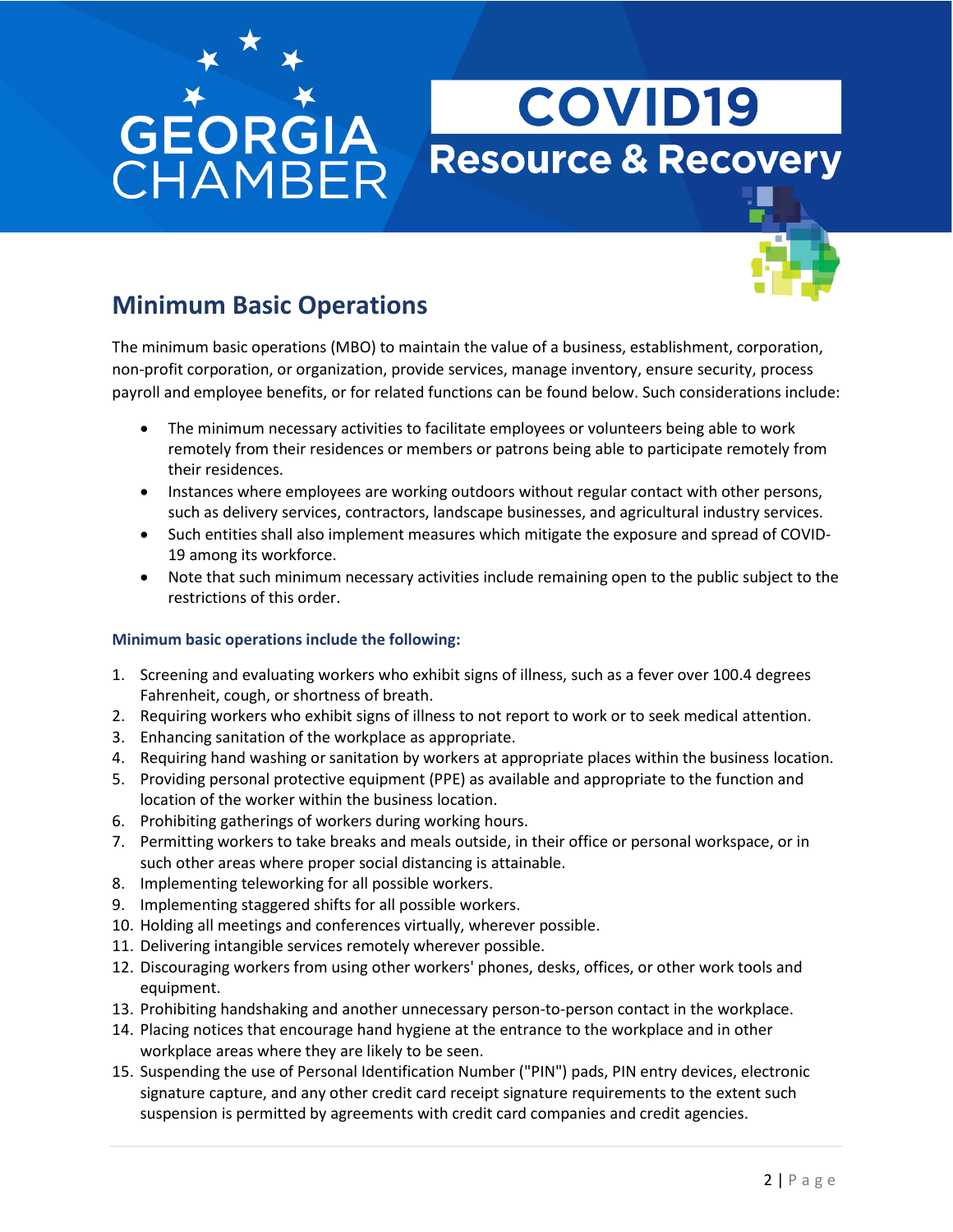# **GEORGI**<br>CHAMBE

## **COVID19 Resource & Recovery**



### **Minimum Basic Operations**

The minimum basic operations (MBO) to maintain the value of a business, establishment, corporation, non-profit corporation, or organization, provide services, manage inventory, ensure security, process payroll and employee benefits, or for related functions can be found below. Such considerations include:

- The minimum necessary activities to facilitate employees or volunteers being able to work remotely from their residences or members or patrons being able to participate remotely from their residences.
- Instances where employees are working outdoors without regular contact with other persons, such as delivery services, contractors, landscape businesses, and agricultural industry services.
- Such entities shall also implement measures which mitigate the exposure and spread of COVID-19 among its workforce.
- Note that such minimum necessary activities include remaining open to the public subject to the restrictions of this order.

#### **Minimum basic operations include the following:**

- 1. Screening and evaluating workers who exhibit signs of illness, such as a fever over 100.4 degrees Fahrenheit, cough, or shortness of breath.
- 2. Requiring workers who exhibit signs of illness to not report to work or to seek medical attention.
- 3. Enhancing sanitation of the workplace as appropriate.
- 4. Requiring hand washing or sanitation by workers at appropriate places within the business location.
- 5. Providing personal protective equipment (PPE) as available and appropriate to the function and location of the worker within the business location.
- 6. Prohibiting gatherings of workers during working hours.
- 7. Permitting workers to take breaks and meals outside, in their office or personal workspace, or in such other areas where proper social distancing is attainable.
- 8. Implementing teleworking for all possible workers.
- 9. Implementing staggered shifts for all possible workers.
- 10. Holding all meetings and conferences virtually, wherever possible.
- 11. Delivering intangible services remotely wherever possible.
- 12. Discouraging workers from using other workers' phones, desks, offices, or other work tools and equipment.
- 13. Prohibiting handshaking and another unnecessary person-to-person contact in the workplace.
- 14. Placing notices that encourage hand hygiene at the entrance to the workplace and in other workplace areas where they are likely to be seen.
- 15. Suspending the use of Personal Identification Number ("PIN") pads, PIN entry devices, electronic signature capture, and any other credit card receipt signature requirements to the extent such suspension is permitted by agreements with credit card companies and credit agencies.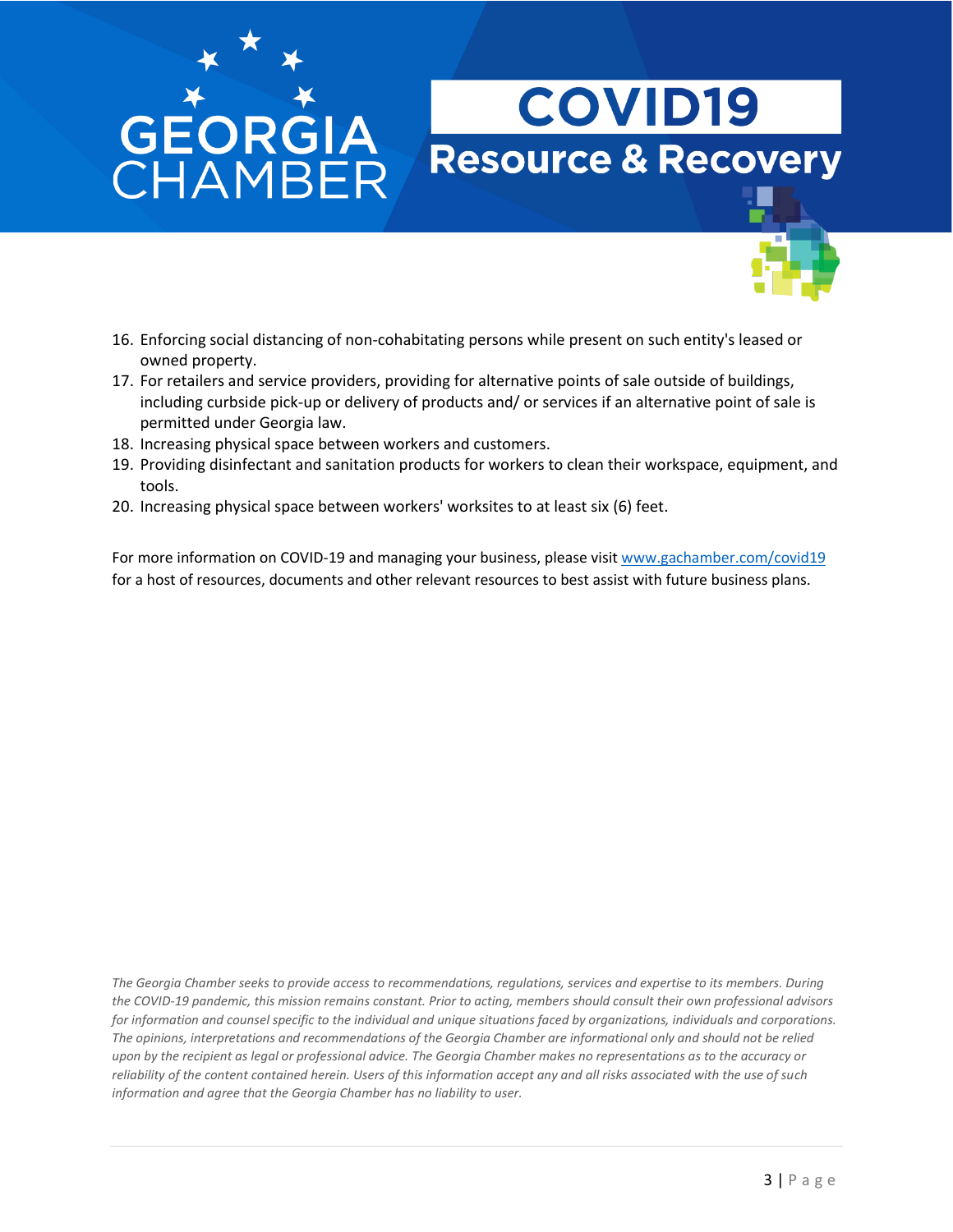# **GEORGIA**<br>CHAMBER

## **COVID19 Resource & Recovery**



- 16. Enforcing social distancing of non-cohabitating persons while present on such entity's leased or owned property.
- 17. For retailers and service providers, providing for alternative points of sale outside of buildings, including curbside pick-up or delivery of products and/ or services if an alternative point of sale is permitted under Georgia law.
- 18. Increasing physical space between workers and customers.
- 19. Providing disinfectant and sanitation products for workers to clean their workspace, equipment, and tools.
- 20. Increasing physical space between workers' worksites to at least six (6) feet.

For more information on COVID-19 and managing your business, please visi[t www.gachamber.com/covid19](http://www.gachamber.com/covid19) for a host of resources, documents and other relevant resources to best assist with future business plans.

*The Georgia Chamber seeks to provide access to recommendations, regulations, services and expertise to its members. During the COVID-19 pandemic, this mission remains constant. Prior to acting, members should consult their own professional advisors for information and counsel specific to the individual and unique situations faced by organizations, individuals and corporations. The opinions, interpretations and recommendations of the Georgia Chamber are informational only and should not be relied upon by the recipient as legal or professional advice. The Georgia Chamber makes no representations as to the accuracy or reliability of the content contained herein. Users of this information accept any and all risks associated with the use of such information and agree that the Georgia Chamber has no liability to user.*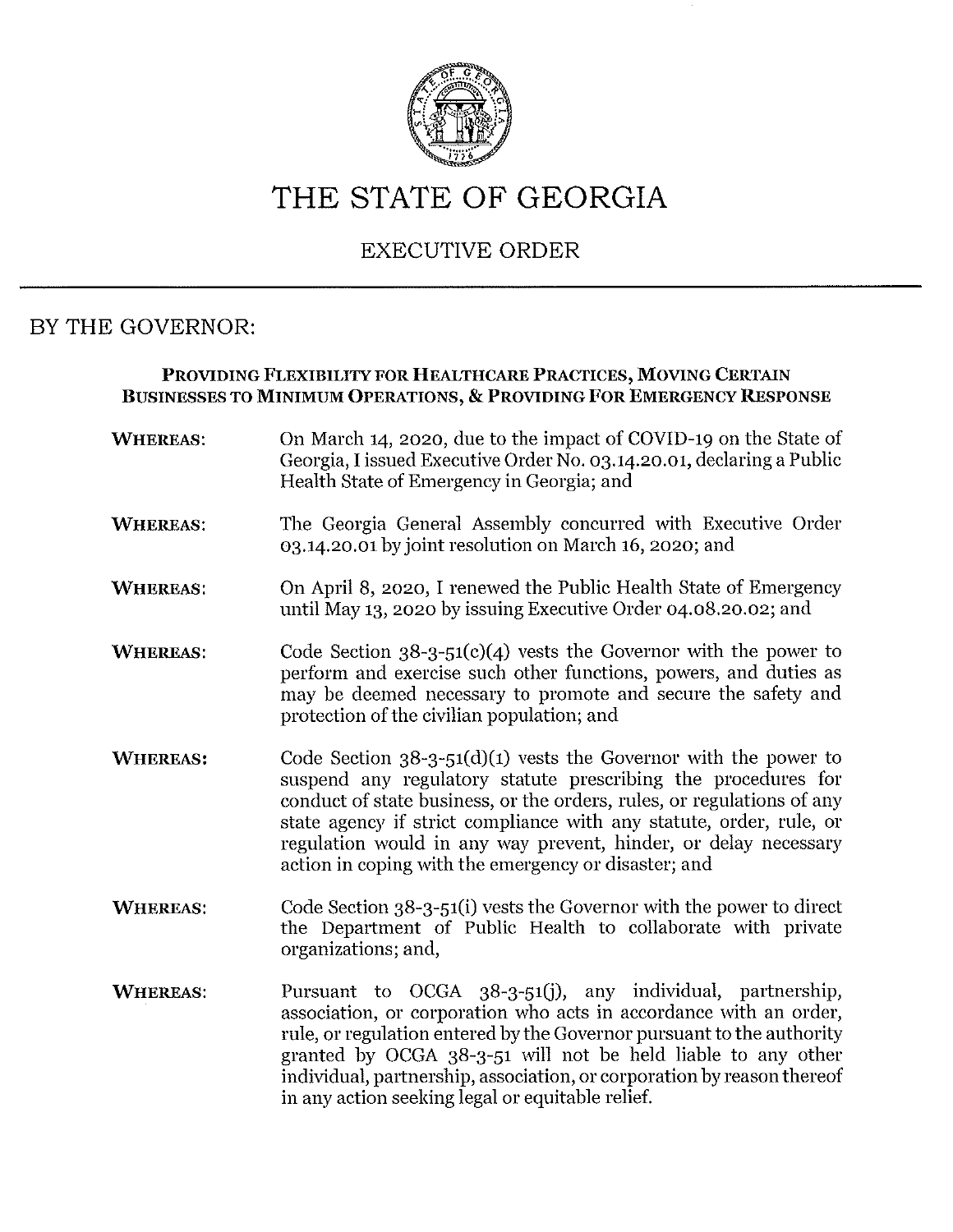

### THE STATE OF GEORGIA

#### **EXECUTIVE ORDER**

#### BY THE GOVERNOR:

#### PROVIDING FLEXIBILITY FOR HEALTHCARE PRACTICES, MOVING CERTAIN BUSINESSES TO MINIMUM OPERATIONS, & PROVIDING FOR EMERGENCY RESPONSE

**WHEREAS:** On March 14, 2020, due to the impact of COVID-19 on the State of Georgia, I issued Executive Order No. 03.14.20.01, declaring a Public Health State of Emergency in Georgia; and The Georgia General Assembly concurred with Executive Order **WHEREAS:** 03.14.20.01 by joint resolution on March 16, 2020; and On April 8, 2020, I renewed the Public Health State of Emergency **WHEREAS:** until May 13, 2020 by issuing Executive Order 04.08.20.02; and Code Section  $38-3-51(c)(4)$  vests the Governor with the power to **WHEREAS:** perform and exercise such other functions, powers, and duties as may be deemed necessary to promote and secure the safety and protection of the civilian population; and Code Section  $38-3-51(d)(1)$  vests the Governor with the power to **WHEREAS:** suspend any regulatory statute prescribing the procedures for conduct of state business, or the orders, rules, or regulations of any state agency if strict compliance with any statute, order, rule, or regulation would in any way prevent, hinder, or delay necessary action in coping with the emergency or disaster; and Code Section  $38-3-51$ (i) vests the Governor with the power to direct **WHEREAS:** the Department of Public Health to collaborate with private organizations; and, **WHEREAS:** Pursuant to OCGA 38-3-51(j), any individual, partnership, association, or corporation who acts in accordance with an order, rule, or regulation entered by the Governor pursuant to the authority granted by OCGA 38-3-51 will not be held liable to any other individual, partnership, association, or corporation by reason thereof

in any action seeking legal or equitable relief.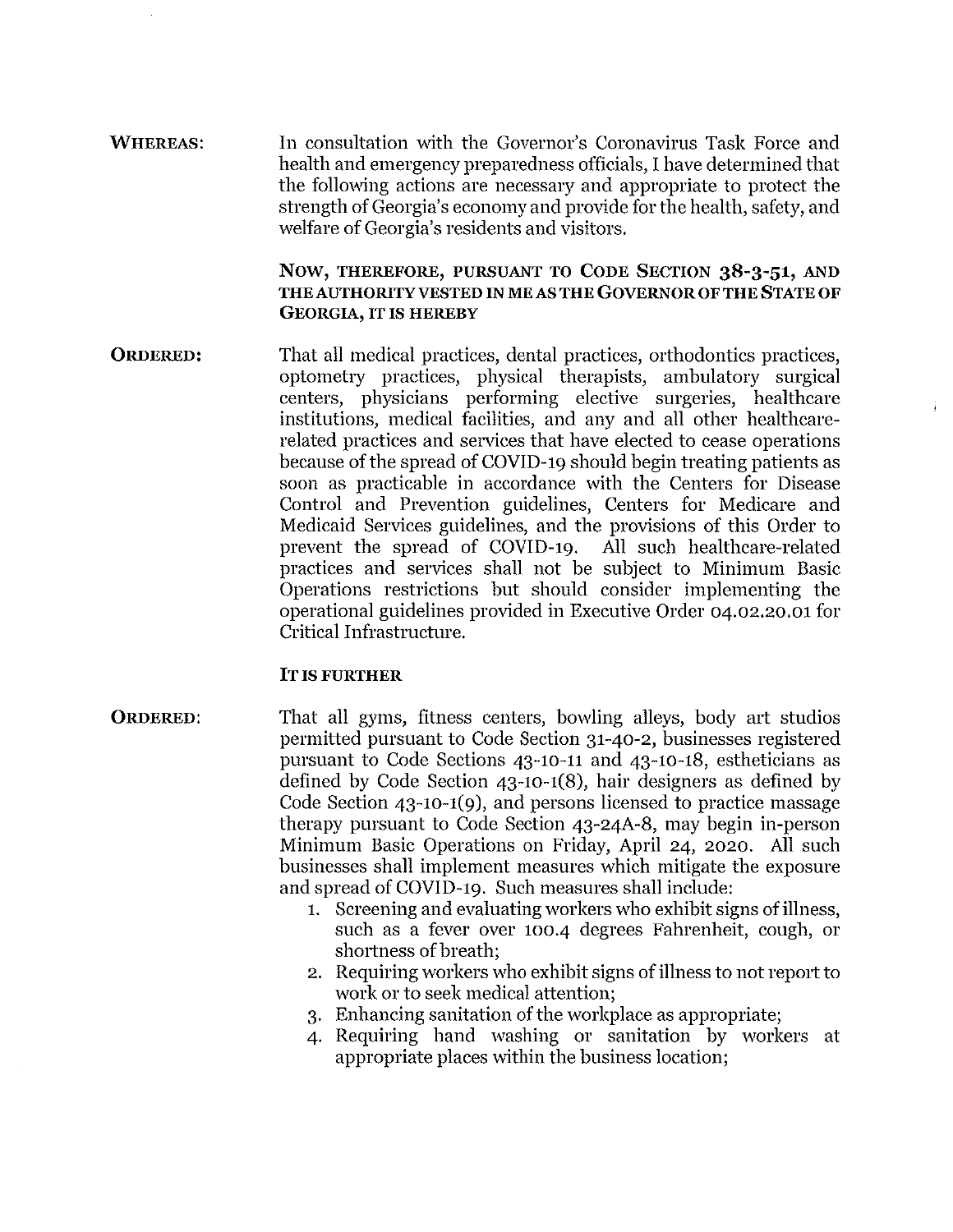**WHEREAS:** In consultation with the Governor's Coronavirus Task Force and health and emergency preparedness officials. I have determined that the following actions are necessary and appropriate to protect the strength of Georgia's economy and provide for the health, safety, and welfare of Georgia's residents and visitors.

#### NOW, THEREFORE, PURSUANT TO CODE SECTION 38-3-51, AND THE AUTHORITY VESTED IN MEAS THE GOVERNOR OF THE STATE OF **GEORGIA. IT IS HEREBY**

**ORDERED:** That all medical practices, dental practices, orthodontics practices, optometry practices, physical therapists, ambulatory surgical centers, physicians performing elective surgeries, healthcare institutions, medical facilities, and any and all other healthcarerelated practices and services that have elected to cease operations because of the spread of COVID-19 should begin treating patients as soon as practicable in accordance with the Centers for Disease Control and Prevention guidelines, Centers for Medicare and Medicaid Services guidelines, and the provisions of this Order to prevent the spread of COVID-19. All such healthcare-related practices and services shall not be subject to Minimum Basic Operations restrictions but should consider implementing the operational guidelines provided in Executive Order 04.02.20.01 for Critical Infrastructure.

#### **IT IS FURTHER**

- That all gyms, fitness centers, bowling alleys, body art studios **ORDERED:** permitted pursuant to Code Section 31-40-2, businesses registered pursuant to Code Sections 43-10-11 and 43-10-18, estheticians as defined by Code Section  $43-10-1(8)$ , hair designers as defined by Code Section  $43-10-1(9)$ , and persons licensed to practice massage therapy pursuant to Code Section 43-24A-8, may begin in-person Minimum Basic Operations on Friday, April 24, 2020. All such businesses shall implement measures which mitigate the exposure and spread of COVID-19. Such measures shall include:
	- 1. Screening and evaluating workers who exhibit signs of illness, such as a fever over 100.4 degrees Fahrenheit, cough, or shortness of breath:
	- 2. Requiring workers who exhibit signs of illness to not report to work or to seek medical attention;
	- 3. Enhancing sanitation of the workplace as appropriate;
	- 4. Requiring hand washing or sanitation by workers at appropriate places within the business location;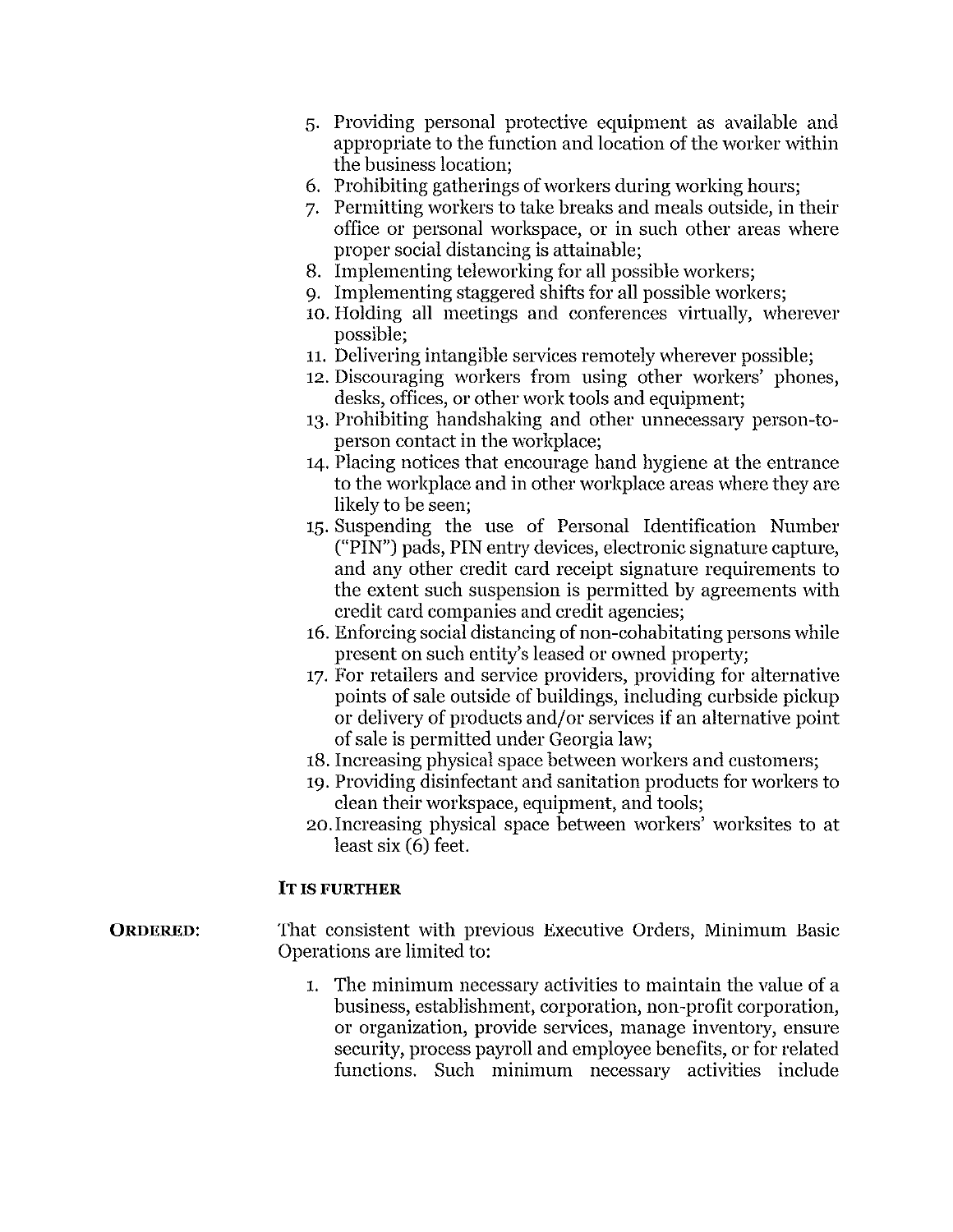- 5. Providing personal protective equipment as available and appropriate to the function and location of the worker within the business location:
- 6. Prohibiting gatherings of workers during working hours;
- 7. Permitting workers to take breaks and meals outside, in their office or personal workspace, or in such other areas where proper social distancing is attainable;
- 8. Implementing teleworking for all possible workers;
- 9. Implementing staggered shifts for all possible workers;
- 10. Holding all meetings and conferences virtually, wherever possible:
- 11. Delivering intangible services remotely wherever possible;
- 12. Discouraging workers from using other workers' phones, desks, offices, or other work tools and equipment:
- 13. Prohibiting handshaking and other unnecessary person-toperson contact in the workplace;
- 14. Placing notices that encourage hand hygiene at the entrance to the workplace and in other workplace areas where they are likely to be seen:
- 15. Suspending the use of Personal Identification Number ("PIN") pads, PIN entry devices, electronic signature capture, and any other credit card receipt signature requirements to the extent such suspension is permitted by agreements with credit card companies and credit agencies;
- 16. Enforcing social distancing of non-cohabitating persons while present on such entity's leased or owned property;
- 17. For retailers and service providers, providing for alternative points of sale outside of buildings, including curbside pickup or delivery of products and/or services if an alternative point of sale is permitted under Georgia law;
- 18. Increasing physical space between workers and customers;
- 19. Providing disinfectant and sanitation products for workers to clean their workspace, equipment, and tools;
- 20. Increasing physical space between workers' worksites to at least six (6) feet.

#### **IT IS FURTHER**

- That consistent with previous Executive Orders, Minimum Basic **ORDERED:** Operations are limited to:
	- 1. The minimum necessary activities to maintain the value of a business, establishment, corporation, non-profit corporation, or organization, provide services, manage inventory, ensure security, process payroll and employee benefits, or for related functions. Such minimum necessary activities include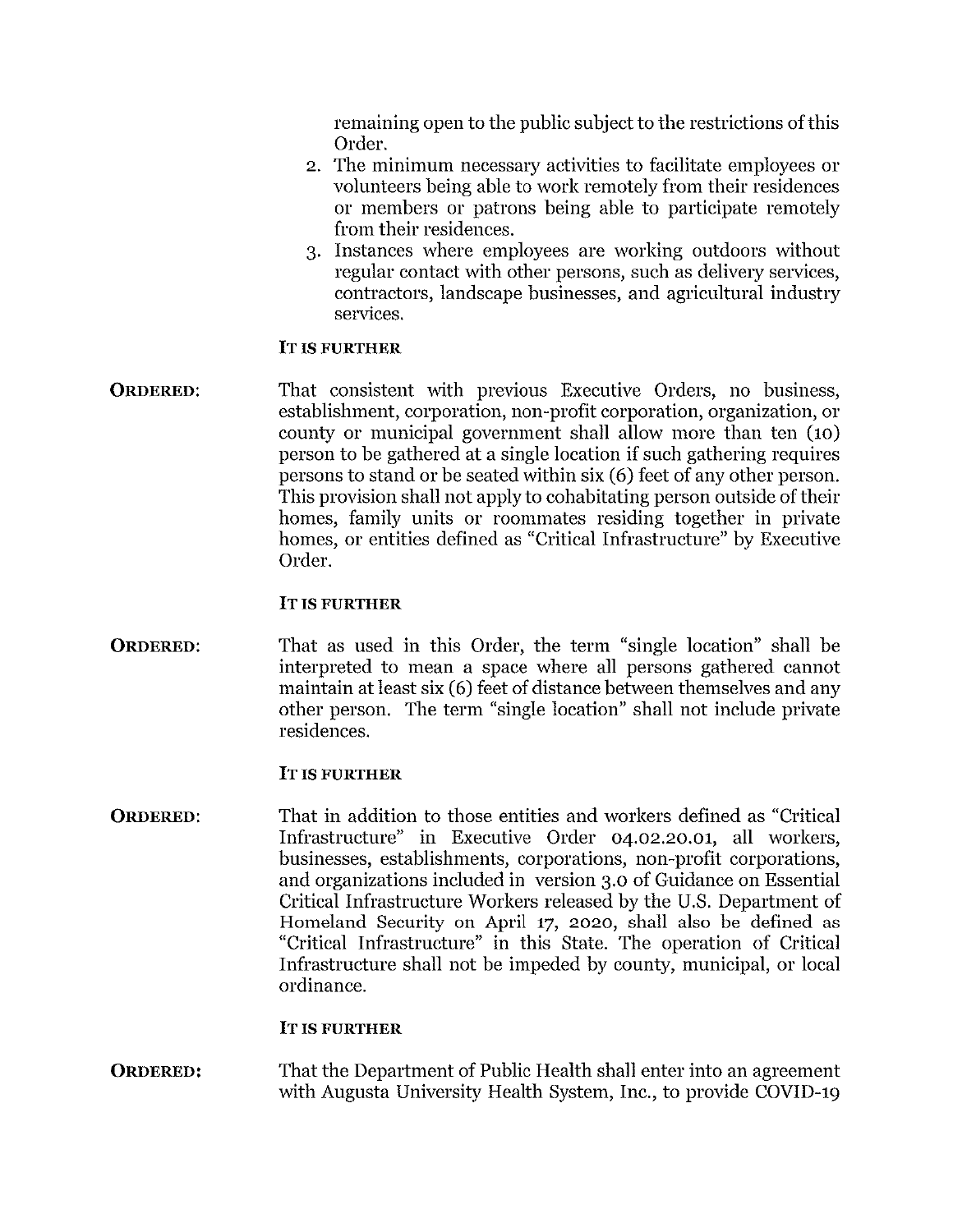remaining open to the public subject to the restrictions of this Order.

- 2. The minimum necessary activities to facilitate employees or volunteers being able to work remotely from their residences or members or patrons being able to participate remotely from their residences.
- 3. Instances where employees are working outdoors without regular contact with other persons, such as delivery services, contractors, landscape businesses, and agricultural industry services.

#### **IT IS FURTHER**

That consistent with previous Executive Orders, no business, **ORDERED:** establishment, corporation, non-profit corporation, organization, or county or municipal government shall allow more than ten (10) person to be gathered at a single location if such gathering requires persons to stand or be seated within six (6) feet of any other person. This provision shall not apply to cohabitating person outside of their homes, family units or roommates residing together in private homes, or entities defined as "Critical Infrastructure" by Executive Order.

#### **IT IS FURTHER**

That as used in this Order, the term "single location" shall be **ORDERED:** interpreted to mean a space where all persons gathered cannot maintain at least six (6) feet of distance between themselves and any other person. The term "single location" shall not include private residences.

#### **IT IS FURTHER**

That in addition to those entities and workers defined as "Critical **ORDERED:** Infrastructure" in Executive Order 04.02.20.01, all workers, businesses, establishments, corporations, non-profit corporations, and organizations included in version 3.0 of Guidance on Essential Critical Infrastructure Workers released by the U.S. Department of Homeland Security on April 17, 2020, shall also be defined as "Critical Infrastructure" in this State. The operation of Critical Infrastructure shall not be impeded by county, municipal, or local ordinance.

#### IT IS FURTHER

That the Department of Public Health shall enter into an agreement **ORDERED:** with Augusta University Health System, Inc., to provide COVID-19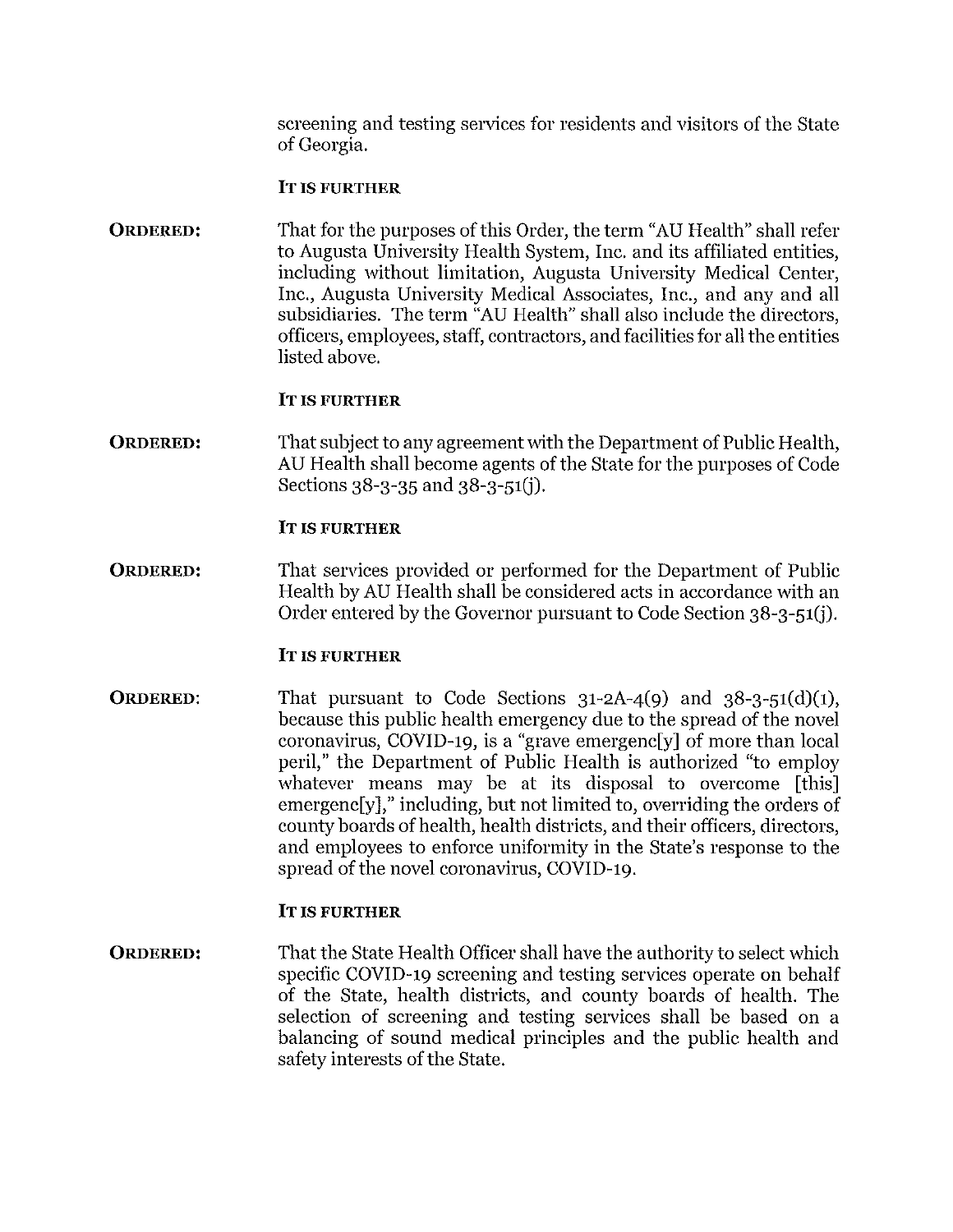screening and testing services for residents and visitors of the State of Georgia.

#### **IT IS FURTHER**

That for the purposes of this Order, the term "AU Health" shall refer **ORDERED:** to Augusta University Health System, Inc. and its affiliated entities. including without limitation, Augusta University Medical Center, Inc., Augusta University Medical Associates, Inc., and any and all subsidiaries. The term "AU Health" shall also include the directors, officers, employees, staff, contractors, and facilities for all the entities listed above.

#### **IT IS FURTHER**

**ORDERED:** That subject to any agreement with the Department of Public Health. AU Health shall become agents of the State for the purposes of Code Sections 38-3-35 and 38-3-51(i).

#### **IT IS FURTHER**

**ORDERED:** That services provided or performed for the Department of Public Health by AU Health shall be considered acts in accordance with an Order entered by the Governor pursuant to Code Section 38-3-51(j).

#### **IT IS FURTHER**

**ORDERED:** That pursuant to Code Sections  $31-2A-4(9)$  and  $38-3-51(d)(1)$ , because this public health emergency due to the spread of the novel coronavirus, COVID-19, is a "grave emergenc[y] of more than local peril," the Department of Public Health is authorized "to employ whatever means may be at its disposal to overcome [this] emergencly," including, but not limited to, overriding the orders of county boards of health, health districts, and their officers, directors, and employees to enforce uniformity in the State's response to the spread of the novel coronavirus, COVID-19.

#### **IT IS FURTHER**

**ORDERED:** That the State Health Officer shall have the authority to select which specific COVID-19 screening and testing services operate on behalf of the State, health districts, and county boards of health. The selection of screening and testing services shall be based on a balancing of sound medical principles and the public health and safety interests of the State.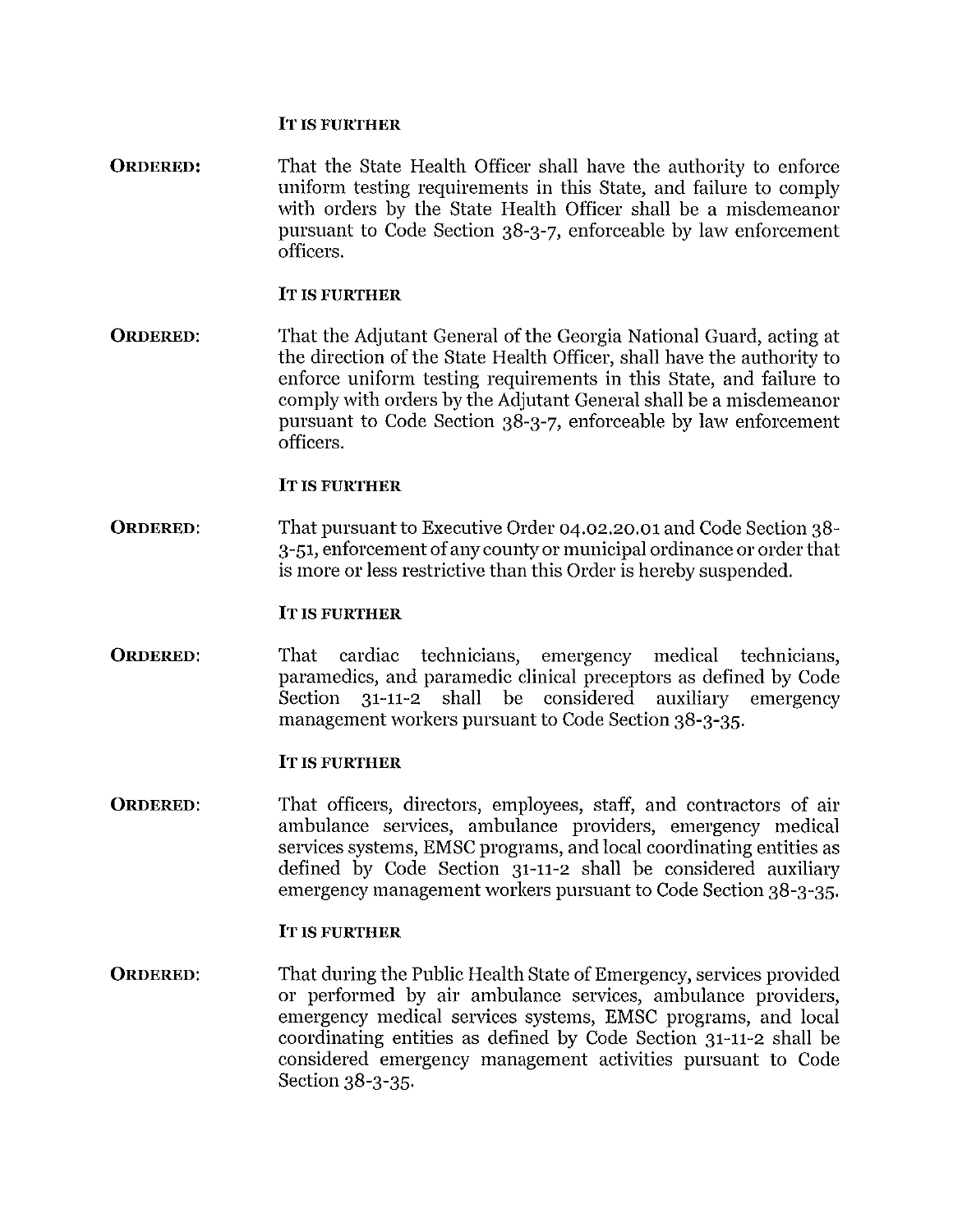#### **IT IS FURTHER**

That the State Health Officer shall have the authority to enforce **ORDERED:** uniform testing requirements in this State, and failure to comply with orders by the State Health Officer shall be a misdemeanor pursuant to Code Section 38-3-7, enforceable by law enforcement officers.

#### IT IS FURTHER

**ORDERED:** That the Adjutant General of the Georgia National Guard, acting at the direction of the State Health Officer, shall have the authority to enforce uniform testing requirements in this State, and failure to comply with orders by the Adjutant General shall be a misdemean or pursuant to Code Section 38-3-7, enforceable by law enforcement officers.

#### **IT IS FURTHER**

**ORDERED:** That pursuant to Executive Order 04.02.20.01 and Code Section 38-3-51, enforcement of any county or municipal ordinance or order that is more or less restrictive than this Order is hereby suspended.

#### **IT IS FURTHER**

**ORDERED:** That cardiac technicians, emergency medical technicians, paramedics, and paramedic clinical preceptors as defined by Code 31-11-2 shall be considered Section auxiliary emergency management workers pursuant to Code Section 38-3-35.

#### **IT IS FURTHER**

**ORDERED:** That officers, directors, employees, staff, and contractors of air ambulance services, ambulance providers, emergency medical services systems, EMSC programs, and local coordinating entities as defined by Code Section 31-11-2 shall be considered auxiliary emergency management workers pursuant to Code Section 38-3-35.

#### **IT IS FURTHER**

**ORDERED:** That during the Public Health State of Emergency, services provided or performed by air ambulance services, ambulance providers, emergency medical services systems, EMSC programs, and local coordinating entities as defined by Code Section 31-11-2 shall be considered emergency management activities pursuant to Code Section 38-3-35.